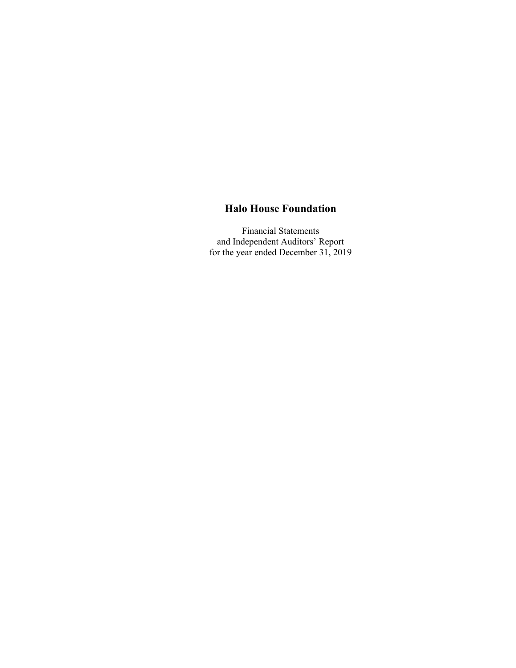Financial Statements and Independent Auditors' Report for the year ended December 31, 2019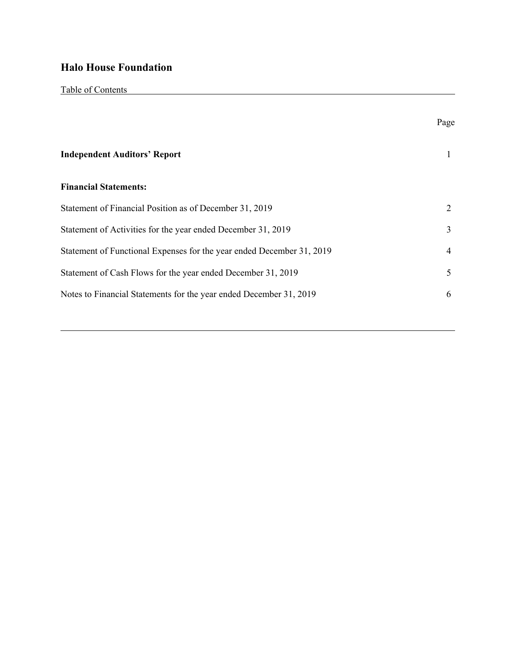Table of Contents

|                                                                       | Page           |
|-----------------------------------------------------------------------|----------------|
| <b>Independent Auditors' Report</b>                                   |                |
| <b>Financial Statements:</b>                                          |                |
| Statement of Financial Position as of December 31, 2019               | 2              |
| Statement of Activities for the year ended December 31, 2019          | 3              |
| Statement of Functional Expenses for the year ended December 31, 2019 | $\overline{4}$ |
| Statement of Cash Flows for the year ended December 31, 2019          | 5              |
| Notes to Financial Statements for the year ended December 31, 2019    | 6              |
|                                                                       |                |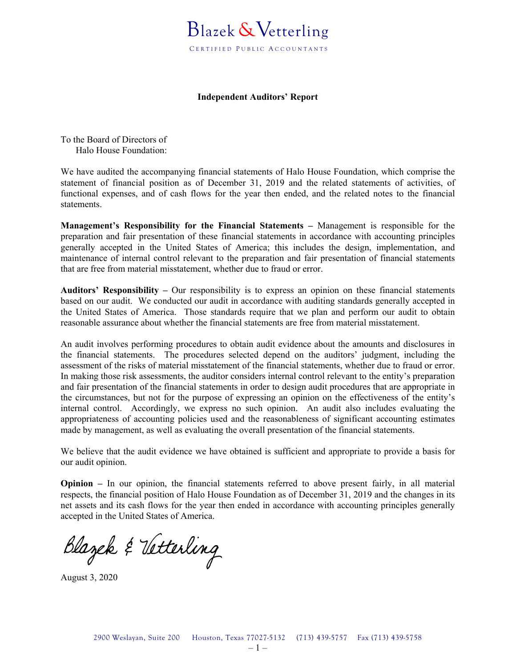

#### **Independent Auditors' Report**

To the Board of Directors of Halo House Foundation:

We have audited the accompanying financial statements of Halo House Foundation, which comprise the statement of financial position as of December 31, 2019 and the related statements of activities, of functional expenses, and of cash flows for the year then ended, and the related notes to the financial statements.

**Management's Responsibility for the Financial Statements –** Management is responsible for the preparation and fair presentation of these financial statements in accordance with accounting principles generally accepted in the United States of America; this includes the design, implementation, and maintenance of internal control relevant to the preparation and fair presentation of financial statements that are free from material misstatement, whether due to fraud or error.

**Auditors' Responsibility –** Our responsibility is to express an opinion on these financial statements based on our audit. We conducted our audit in accordance with auditing standards generally accepted in the United States of America. Those standards require that we plan and perform our audit to obtain reasonable assurance about whether the financial statements are free from material misstatement.

An audit involves performing procedures to obtain audit evidence about the amounts and disclosures in the financial statements. The procedures selected depend on the auditors' judgment, including the assessment of the risks of material misstatement of the financial statements, whether due to fraud or error. In making those risk assessments, the auditor considers internal control relevant to the entity's preparation and fair presentation of the financial statements in order to design audit procedures that are appropriate in the circumstances, but not for the purpose of expressing an opinion on the effectiveness of the entity's internal control. Accordingly, we express no such opinion. An audit also includes evaluating the appropriateness of accounting policies used and the reasonableness of significant accounting estimates made by management, as well as evaluating the overall presentation of the financial statements.

We believe that the audit evidence we have obtained is sufficient and appropriate to provide a basis for our audit opinion.

**Opinion –** In our opinion, the financial statements referred to above present fairly, in all material respects, the financial position of Halo House Foundation as of December 31, 2019 and the changes in its net assets and its cash flows for the year then ended in accordance with accounting principles generally accepted in the United States of America.

Blazek & Vetterling

August 3, 2020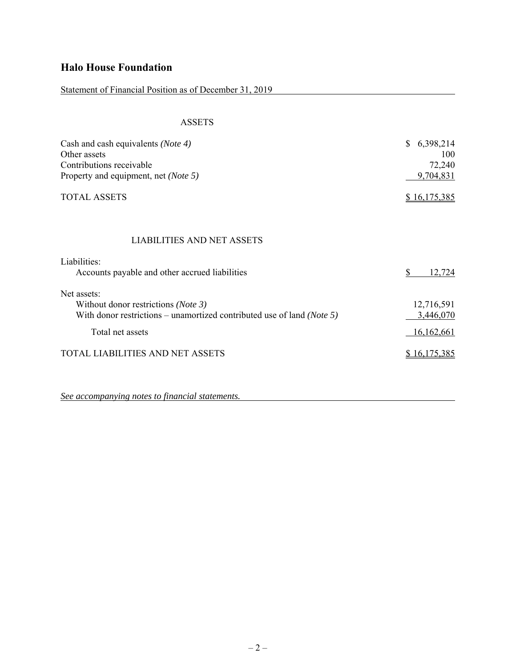Statement of Financial Position as of December 31, 2019

### ASSETS

| Cash and cash equivalents (Note 4)<br>Other assets<br>Contributions receivable<br>Property and equipment, net (Note 5)                           | $\mathbb{S}$<br>6,398,214<br>100<br>72,240<br>9,704,831 |
|--------------------------------------------------------------------------------------------------------------------------------------------------|---------------------------------------------------------|
| <b>TOTAL ASSETS</b>                                                                                                                              | \$16,175,385                                            |
| <b>LIABILITIES AND NET ASSETS</b>                                                                                                                |                                                         |
| Liabilities:<br>Accounts payable and other accrued liabilities                                                                                   | 12,724                                                  |
| Net assets:<br>Without donor restrictions (Note 3)<br>With donor restrictions – unamortized contributed use of land (Note 5)<br>Total net assets | 12,716,591<br>3,446,070<br>16,162,661                   |
| TOTAL LIABILITIES AND NET ASSETS                                                                                                                 | <u>\$16,175,385</u>                                     |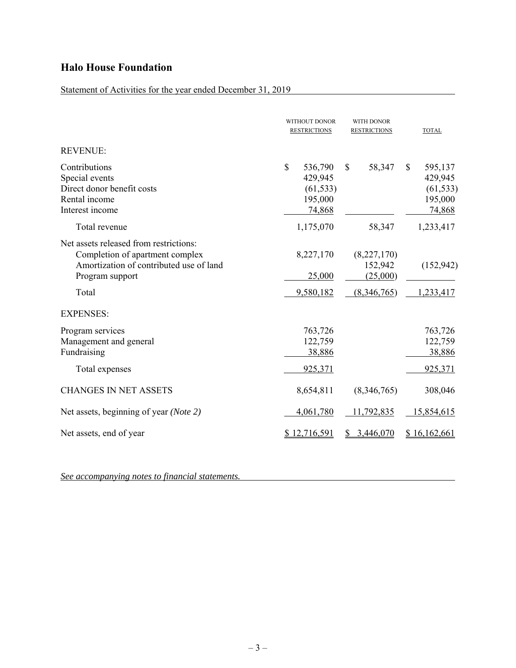### Statement of Activities for the year ended December 31, 2019

|                                                                                                                                         | <b>WITHOUT DONOR</b><br><b>RESTRICTIONS</b> |                                                      | <b>WITH DONOR</b><br><b>RESTRICTIONS</b> |                                    |              | <b>TOTAL</b>                                         |
|-----------------------------------------------------------------------------------------------------------------------------------------|---------------------------------------------|------------------------------------------------------|------------------------------------------|------------------------------------|--------------|------------------------------------------------------|
| <b>REVENUE:</b>                                                                                                                         |                                             |                                                      |                                          |                                    |              |                                                      |
| Contributions<br>Special events<br>Direct donor benefit costs<br>Rental income<br>Interest income                                       | \$                                          | 536,790<br>429,945<br>(61, 533)<br>195,000<br>74,868 | $\mathbb{S}$                             | 58,347                             | $\mathbb{S}$ | 595,137<br>429,945<br>(61, 533)<br>195,000<br>74,868 |
| Total revenue                                                                                                                           |                                             | 1,175,070                                            |                                          | 58,347                             |              | 1,233,417                                            |
| Net assets released from restrictions:<br>Completion of apartment complex<br>Amortization of contributed use of land<br>Program support |                                             | 8,227,170<br>25,000                                  |                                          | (8,227,170)<br>152,942<br>(25,000) |              | (152, 942)                                           |
| Total                                                                                                                                   |                                             | 9,580,182                                            |                                          | (8,346,765)                        |              | 1,233,417                                            |
| <b>EXPENSES:</b>                                                                                                                        |                                             |                                                      |                                          |                                    |              |                                                      |
| Program services<br>Management and general<br>Fundraising<br>Total expenses                                                             |                                             | 763,726<br>122,759<br>38,886<br>925,371              |                                          |                                    |              | 763,726<br>122,759<br>38,886<br>925,371              |
| <b>CHANGES IN NET ASSETS</b>                                                                                                            |                                             | 8,654,811                                            |                                          | (8,346,765)                        |              | 308,046                                              |
| Net assets, beginning of year (Note 2)                                                                                                  |                                             | 4,061,780                                            |                                          | 11,792,835                         |              | 15,854,615                                           |
| Net assets, end of year                                                                                                                 |                                             | \$12,716,591                                         |                                          | 3,446,070                          |              | \$16,162,661                                         |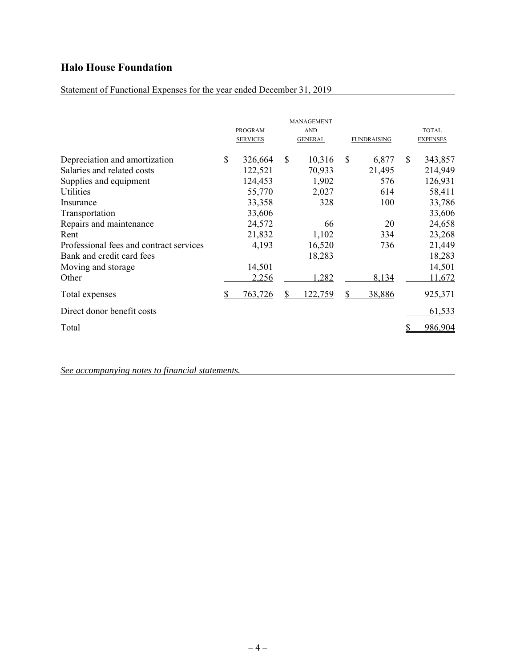Statement of Functional Expenses for the year ended December 31, 2019

|                                         | <b>PROGRAM</b>  |               | MANAGEMENT<br><b>AND</b> |               |                    |               | <b>TOTAL</b>    |
|-----------------------------------------|-----------------|---------------|--------------------------|---------------|--------------------|---------------|-----------------|
|                                         | <b>SERVICES</b> |               | <b>GENERAL</b>           |               | <b>FUNDRAISING</b> |               | <b>EXPENSES</b> |
| Depreciation and amortization           | \$<br>326,664   | <sup>\$</sup> | 10,316                   | $\mathcal{S}$ | 6,877              | <sup>\$</sup> | 343,857         |
| Salaries and related costs              | 122,521         |               | 70,933                   |               | 21,495             |               | 214,949         |
| Supplies and equipment                  | 124,453         |               | 1,902                    |               | 576                |               | 126,931         |
| Utilities                               | 55,770          |               | 2,027                    |               | 614                |               | 58,411          |
| Insurance                               | 33,358          |               | 328                      |               | 100                |               | 33,786          |
| Transportation                          | 33,606          |               |                          |               |                    |               | 33,606          |
| Repairs and maintenance                 | 24,572          |               | 66                       |               | 20                 |               | 24,658          |
| Rent                                    | 21,832          |               | 1,102                    |               | 334                |               | 23,268          |
| Professional fees and contract services | 4,193           |               | 16,520                   |               | 736                |               | 21,449          |
| Bank and credit card fees               |                 |               | 18,283                   |               |                    |               | 18,283          |
| Moving and storage                      | 14,501          |               |                          |               |                    |               | 14,501          |
| Other                                   | 2,256           |               | 1,282                    |               | 8,134              |               | 11,672          |
| Total expenses                          | 763,726         |               | 22,759                   | S             | 38,886             |               | 925,371         |
| Direct donor benefit costs              |                 |               |                          |               |                    |               | 61,533          |
| Total                                   |                 |               |                          |               |                    |               | 986,904         |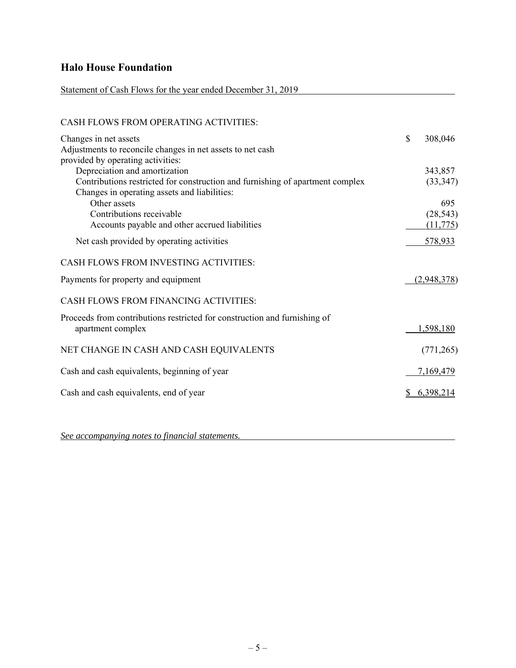| Statement of Cash Flows for the year ended December 31, 2019                                                                                                   |                              |
|----------------------------------------------------------------------------------------------------------------------------------------------------------------|------------------------------|
| CASH FLOWS FROM OPERATING ACTIVITIES:                                                                                                                          |                              |
| Changes in net assets<br>Adjustments to reconcile changes in net assets to net cash<br>provided by operating activities:                                       | \$<br>308,046                |
| Depreciation and amortization<br>Contributions restricted for construction and furnishing of apartment complex<br>Changes in operating assets and liabilities: | 343,857<br>(33, 347)         |
| Other assets<br>Contributions receivable<br>Accounts payable and other accrued liabilities                                                                     | 695<br>(28, 543)<br>(11,775) |
| Net cash provided by operating activities                                                                                                                      | 578,933                      |
| CASH FLOWS FROM INVESTING ACTIVITIES:<br>Payments for property and equipment                                                                                   | (2,948,378)                  |
| CASH FLOWS FROM FINANCING ACTIVITIES:                                                                                                                          |                              |
| Proceeds from contributions restricted for construction and furnishing of<br>apartment complex                                                                 | 1,598,180                    |
| NET CHANGE IN CASH AND CASH EQUIVALENTS                                                                                                                        | (771, 265)                   |
| Cash and cash equivalents, beginning of year                                                                                                                   | 7,169,479                    |
| Cash and cash equivalents, end of year                                                                                                                         | \$<br>6,398,214              |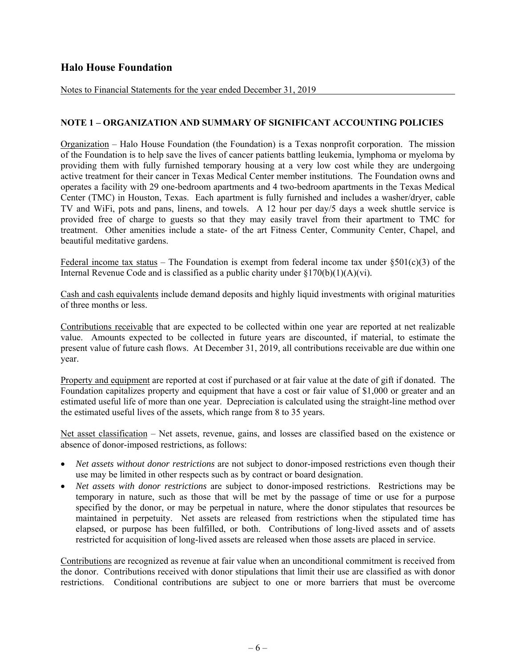Notes to Financial Statements for the year ended December 31, 2019

### **NOTE 1 – ORGANIZATION AND SUMMARY OF SIGNIFICANT ACCOUNTING POLICIES**

Organization – Halo House Foundation (the Foundation) is a Texas nonprofit corporation. The mission of the Foundation is to help save the lives of cancer patients battling leukemia, lymphoma or myeloma by providing them with fully furnished temporary housing at a very low cost while they are undergoing active treatment for their cancer in Texas Medical Center member institutions. The Foundation owns and operates a facility with 29 one-bedroom apartments and 4 two-bedroom apartments in the Texas Medical Center (TMC) in Houston, Texas. Each apartment is fully furnished and includes a washer/dryer, cable TV and WiFi, pots and pans, linens, and towels. A 12 hour per day/5 days a week shuttle service is provided free of charge to guests so that they may easily travel from their apartment to TMC for treatment. Other amenities include a state- of the art Fitness Center, Community Center, Chapel, and beautiful meditative gardens.

Federal income tax status – The Foundation is exempt from federal income tax under  $\S501(c)(3)$  of the Internal Revenue Code and is classified as a public charity under  $\S170(b)(1)(A)(vi)$ .

Cash and cash equivalents include demand deposits and highly liquid investments with original maturities of three months or less.

Contributions receivable that are expected to be collected within one year are reported at net realizable value. Amounts expected to be collected in future years are discounted, if material, to estimate the present value of future cash flows. At December 31, 2019, all contributions receivable are due within one year.

Property and equipment are reported at cost if purchased or at fair value at the date of gift if donated. The Foundation capitalizes property and equipment that have a cost or fair value of \$1,000 or greater and an estimated useful life of more than one year. Depreciation is calculated using the straight-line method over the estimated useful lives of the assets, which range from 8 to 35 years.

Net asset classification – Net assets, revenue, gains, and losses are classified based on the existence or absence of donor-imposed restrictions, as follows:

- *Net assets without donor restrictions* are not subject to donor-imposed restrictions even though their use may be limited in other respects such as by contract or board designation.
- *Net assets with donor restrictions* are subject to donor-imposed restrictions. Restrictions may be temporary in nature, such as those that will be met by the passage of time or use for a purpose specified by the donor, or may be perpetual in nature, where the donor stipulates that resources be maintained in perpetuity. Net assets are released from restrictions when the stipulated time has elapsed, or purpose has been fulfilled, or both. Contributions of long-lived assets and of assets restricted for acquisition of long-lived assets are released when those assets are placed in service.

Contributions are recognized as revenue at fair value when an unconditional commitment is received from the donor. Contributions received with donor stipulations that limit their use are classified as with donor restrictions. Conditional contributions are subject to one or more barriers that must be overcome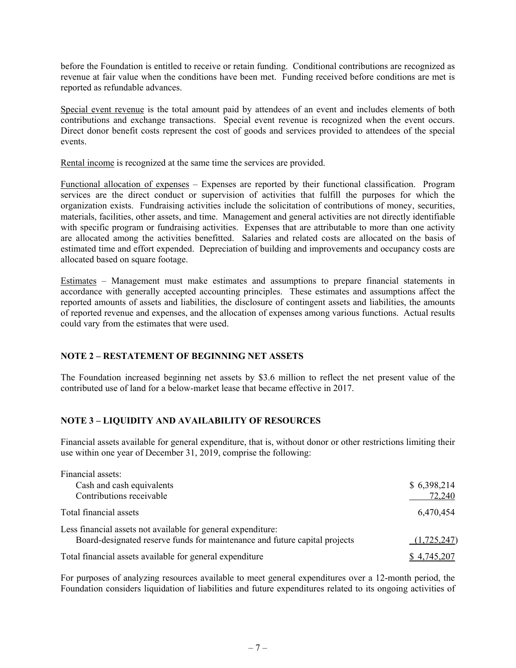before the Foundation is entitled to receive or retain funding. Conditional contributions are recognized as revenue at fair value when the conditions have been met. Funding received before conditions are met is reported as refundable advances.

Special event revenue is the total amount paid by attendees of an event and includes elements of both contributions and exchange transactions. Special event revenue is recognized when the event occurs. Direct donor benefit costs represent the cost of goods and services provided to attendees of the special events.

Rental income is recognized at the same time the services are provided.

Functional allocation of expenses – Expenses are reported by their functional classification. Program services are the direct conduct or supervision of activities that fulfill the purposes for which the organization exists. Fundraising activities include the solicitation of contributions of money, securities, materials, facilities, other assets, and time. Management and general activities are not directly identifiable with specific program or fundraising activities. Expenses that are attributable to more than one activity are allocated among the activities benefitted. Salaries and related costs are allocated on the basis of estimated time and effort expended. Depreciation of building and improvements and occupancy costs are allocated based on square footage.

Estimates – Management must make estimates and assumptions to prepare financial statements in accordance with generally accepted accounting principles. These estimates and assumptions affect the reported amounts of assets and liabilities, the disclosure of contingent assets and liabilities, the amounts of reported revenue and expenses, and the allocation of expenses among various functions. Actual results could vary from the estimates that were used.

### **NOTE 2 – RESTATEMENT OF BEGINNING NET ASSETS**

The Foundation increased beginning net assets by \$3.6 million to reflect the net present value of the contributed use of land for a below-market lease that became effective in 2017.

### **NOTE 3 – LIQUIDITY AND AVAILABILITY OF RESOURCES**

Financial assets available for general expenditure, that is, without donor or other restrictions limiting their use within one year of December 31, 2019, comprise the following:

| Financial assets:                                                          |             |
|----------------------------------------------------------------------------|-------------|
| Cash and cash equivalents                                                  | \$6,398,214 |
| Contributions receivable                                                   | 72,240      |
| Total financial assets                                                     | 6,470,454   |
| Less financial assets not available for general expenditure:               |             |
| Board-designated reserve funds for maintenance and future capital projects | (1,725,247) |
| Total financial assets available for general expenditure                   | \$4,745,207 |

For purposes of analyzing resources available to meet general expenditures over a 12-month period, the Foundation considers liquidation of liabilities and future expenditures related to its ongoing activities of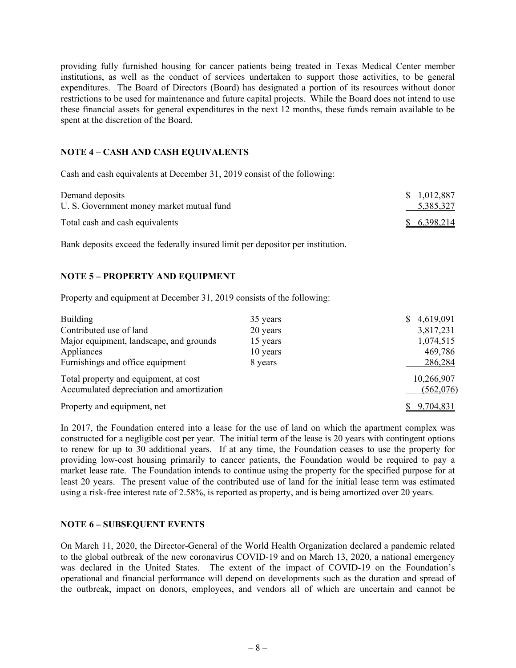providing fully furnished housing for cancer patients being treated in Texas Medical Center member institutions, as well as the conduct of services undertaken to support those activities, to be general expenditures. The Board of Directors (Board) has designated a portion of its resources without donor restrictions to be used for maintenance and future capital projects. While the Board does not intend to use these financial assets for general expenditures in the next 12 months, these funds remain available to be spent at the discretion of the Board.

#### **NOTE 4 – CASH AND CASH EQUIVALENTS**

Cash and cash equivalents at December 31, 2019 consist of the following:

| Demand deposits                           | \$1,012,887  |
|-------------------------------------------|--------------|
| U. S. Government money market mutual fund | 5,385,327    |
| Total cash and cash equivalents           | \$ 6,398,214 |

Bank deposits exceed the federally insured limit per depositor per institution.

### **NOTE 5 – PROPERTY AND EQUIPMENT**

Property and equipment at December 31, 2019 consists of the following:

| Building                                                                           | 35 years | 4,619,091<br>S.         |
|------------------------------------------------------------------------------------|----------|-------------------------|
| Contributed use of land                                                            | 20 years | 3,817,231               |
| Major equipment, landscape, and grounds                                            | 15 years | 1,074,515               |
| Appliances                                                                         | 10 years | 469,786                 |
| Furnishings and office equipment                                                   | 8 years  | 286,284                 |
| Total property and equipment, at cost<br>Accumulated depreciation and amortization |          | 10,266,907<br>(562,076) |
| Property and equipment, net                                                        |          | 9,704,831               |

In 2017, the Foundation entered into a lease for the use of land on which the apartment complex was constructed for a negligible cost per year. The initial term of the lease is 20 years with contingent options to renew for up to 30 additional years. If at any time, the Foundation ceases to use the property for providing low-cost housing primarily to cancer patients, the Foundation would be required to pay a market lease rate. The Foundation intends to continue using the property for the specified purpose for at least 20 years. The present value of the contributed use of land for the initial lease term was estimated using a risk-free interest rate of 2.58%, is reported as property, and is being amortized over 20 years.

### **NOTE 6 – SUBSEQUENT EVENTS**

On March 11, 2020, the Director-General of the World Health Organization declared a pandemic related to the global outbreak of the new coronavirus COVID-19 and on March 13, 2020, a national emergency was declared in the United States. The extent of the impact of COVID-19 on the Foundation's operational and financial performance will depend on developments such as the duration and spread of the outbreak, impact on donors, employees, and vendors all of which are uncertain and cannot be